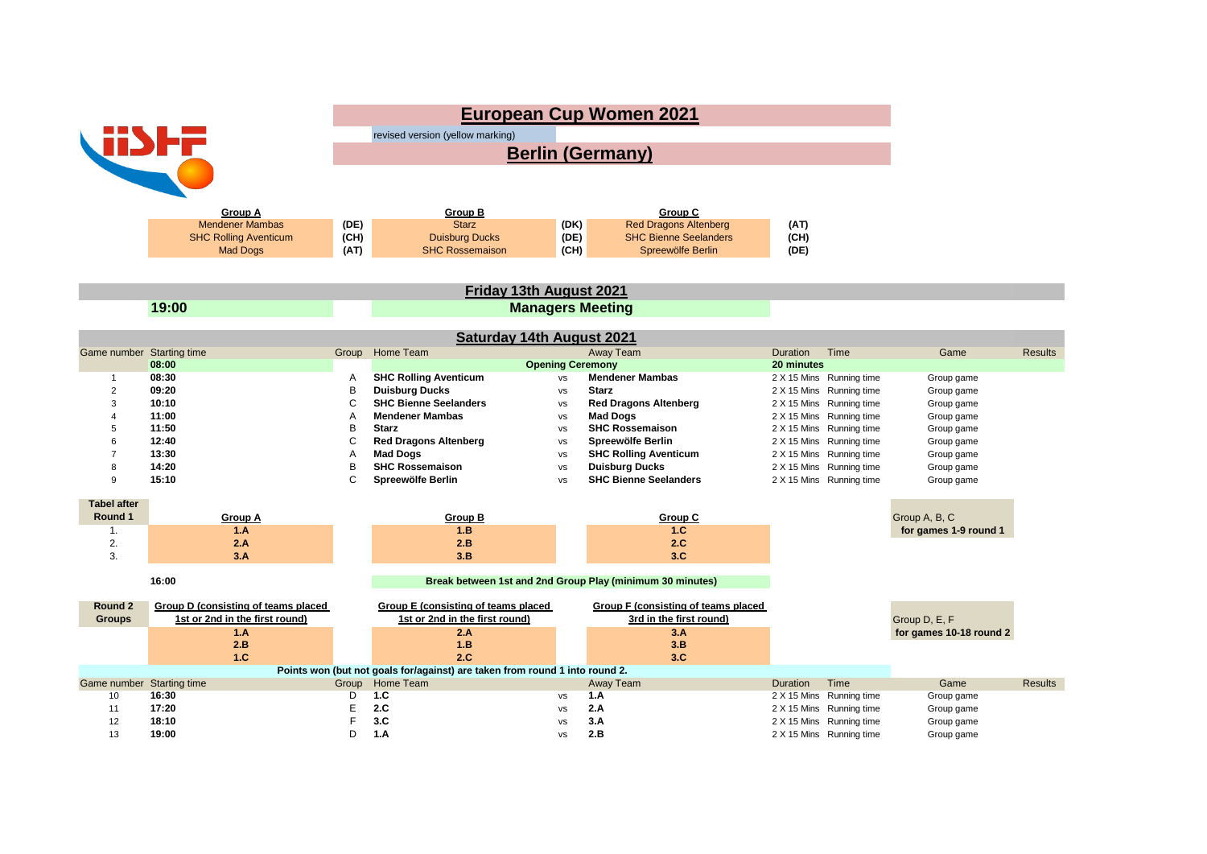| <b>WINE</b><br><b>Group A</b><br><b>Mendener Mambas</b><br><b>SHC Rolling Aventicum</b>        |                                                                                            |                                     | <b>European Cup Women 2021</b><br>revised version (yellow marking)<br><b>Berlin (Germany)</b><br>Group C<br><b>Group B</b><br><b>Starz</b><br>(DK)<br>(DE)<br><b>Red Dragons Altenberg</b><br>(AT)<br>(CH)<br>(DE)<br><b>SHC Bienne Seelanders</b><br><b>Duisburg Ducks</b><br>(CH) |                                                                                                |                                                                                                                                                              |                                                                     |                                                                                                                                          |                                                                                          |                |
|------------------------------------------------------------------------------------------------|--------------------------------------------------------------------------------------------|-------------------------------------|-------------------------------------------------------------------------------------------------------------------------------------------------------------------------------------------------------------------------------------------------------------------------------------|------------------------------------------------------------------------------------------------|--------------------------------------------------------------------------------------------------------------------------------------------------------------|---------------------------------------------------------------------|------------------------------------------------------------------------------------------------------------------------------------------|------------------------------------------------------------------------------------------|----------------|
|                                                                                                | <b>Mad Dogs</b>                                                                            | (AT)                                | <b>SHC Rossemaison</b>                                                                                                                                                                                                                                                              | (CH)                                                                                           | Spreewölfe Berlin                                                                                                                                            | (DE)                                                                |                                                                                                                                          |                                                                                          |                |
|                                                                                                |                                                                                            |                                     | Friday 13th August 2021                                                                                                                                                                                                                                                             |                                                                                                |                                                                                                                                                              |                                                                     |                                                                                                                                          |                                                                                          |                |
|                                                                                                | 19:00                                                                                      |                                     |                                                                                                                                                                                                                                                                                     | <b>Managers Meeting</b>                                                                        |                                                                                                                                                              |                                                                     |                                                                                                                                          |                                                                                          |                |
|                                                                                                |                                                                                            |                                     | <b>Saturday 14th August 2021</b>                                                                                                                                                                                                                                                    |                                                                                                |                                                                                                                                                              |                                                                     |                                                                                                                                          |                                                                                          |                |
| Game number Starting time<br>$\overline{1}$<br>$\overline{2}$<br>3<br>$\overline{4}$<br>5<br>6 | 08:00<br>08:30<br>09:20<br>10:10<br>11:00<br>11:50<br>12:40                                | Group<br>Α<br>В<br>C<br>A<br>B<br>C | Home Team<br><b>SHC Rolling Aventicum</b><br><b>Duisburg Ducks</b><br><b>SHC Bienne Seelanders</b><br><b>Mendener Mambas</b><br><b>Starz</b><br><b>Red Dragons Altenberg</b>                                                                                                        | <b>Opening Ceremony</b><br>vs<br><b>VS</b><br><b>VS</b><br><b>VS</b><br><b>VS</b><br><b>VS</b> | <b>Away Team</b><br><b>Mendener Mambas</b><br><b>Starz</b><br><b>Red Dragons Altenberg</b><br><b>Mad Dogs</b><br><b>SHC Rossemaison</b><br>Spreewölfe Berlin | Duration<br>20 minutes<br>2 X 15 Mins<br>2 X 15 Mins<br>2 X 15 Mins | Time<br>2 X 15 Mins Running time<br>Running time<br>Running time<br>Running time<br>2 X 15 Mins Running time<br>2 X 15 Mins Running time | Game<br>Group game<br>Group game<br>Group game<br>Group game<br>Group game<br>Group game | <b>Results</b> |
| $\overline{7}$<br>8<br>9                                                                       | 13:30<br>14:20<br>15:10                                                                    | Α<br>B<br>C                         | <b>Mad Dogs</b><br><b>SHC Rossemaison</b><br>Spreewölfe Berlin                                                                                                                                                                                                                      | vs<br>vs<br>vs                                                                                 | <b>SHC Rolling Aventicum</b><br><b>Duisburg Ducks</b><br><b>SHC Bienne Seelanders</b>                                                                        |                                                                     | 2 X 15 Mins Running time<br>2 X 15 Mins Running time<br>2 X 15 Mins Running time                                                         | Group game<br>Group game<br>Group game                                                   |                |
| <b>Tabel after</b><br>Round 1<br>1.<br>2.<br>3.                                                | <b>Group A</b><br>1.A<br>2.A<br>3.A                                                        |                                     | Group B<br>1.B<br>2.B<br>3.B                                                                                                                                                                                                                                                        |                                                                                                | Group C<br>1.C<br>2.C<br>3.C                                                                                                                                 |                                                                     |                                                                                                                                          | Group A, B, C<br>for games 1-9 round 1                                                   |                |
| 16:00<br>Break between 1st and 2nd Group Play (minimum 30 minutes)                             |                                                                                            |                                     |                                                                                                                                                                                                                                                                                     |                                                                                                |                                                                                                                                                              |                                                                     |                                                                                                                                          |                                                                                          |                |
| Round 2<br><b>Groups</b>                                                                       | Group D (consisting of teams placed<br>1st or 2nd in the first round)<br>1.A<br>2.B<br>1.C |                                     | Group E (consisting of teams placed<br>1st or 2nd in the first round)<br>2.A<br>1.B<br>2.C                                                                                                                                                                                          |                                                                                                | Group F (consisting of teams placed<br>3rd in the first round)<br>3.A<br>3.B<br>3.C                                                                          |                                                                     |                                                                                                                                          | Group D, E, F<br>for games 10-18 round 2                                                 |                |
| Game number Starting time<br>10<br>11<br>12<br>13                                              | 16:30<br>17:20<br>18:10<br>19:00                                                           | Group<br>D<br>E<br>E<br>D           | Points won (but not goals for/against) are taken from round 1 into round 2.<br>Home Team<br>1.C<br>2.C<br>3.C<br>1.A                                                                                                                                                                | vs<br><b>VS</b><br>vs<br>vs                                                                    | Away Team<br>1.A<br>2.A<br>3.A<br>2.B                                                                                                                        | Duration                                                            | Time<br>2 X 15 Mins Running time<br>2 X 15 Mins Running time<br>2 X 15 Mins Running time<br>2 X 15 Mins Running time                     | Game<br>Group game<br>Group game<br>Group game<br>Group game                             | <b>Results</b> |